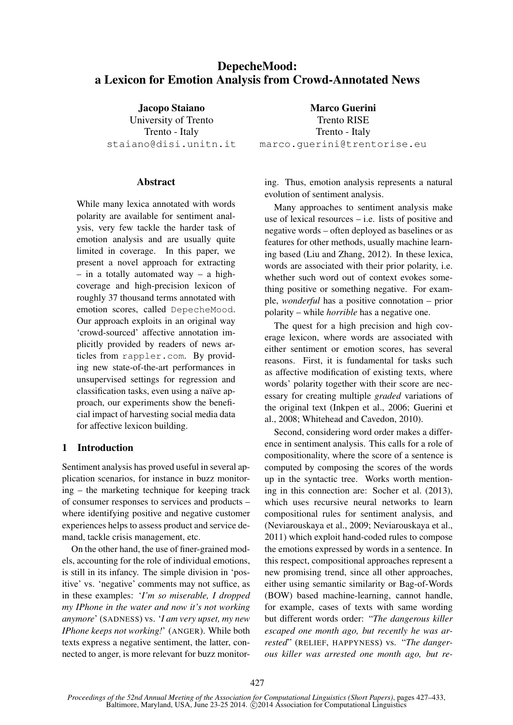# DepecheMood: a Lexicon for Emotion Analysis from Crowd-Annotated News

Jacopo Staiano University of Trento Trento - Italy staiano@disi.unitn.it

#### **Abstract**

While many lexica annotated with words polarity are available for sentiment analysis, very few tackle the harder task of emotion analysis and are usually quite limited in coverage. In this paper, we present a novel approach for extracting – in a totally automated way – a highcoverage and high-precision lexicon of roughly 37 thousand terms annotated with emotion scores, called DepecheMood. Our approach exploits in an original way 'crowd-sourced' affective annotation implicitly provided by readers of news articles from rappler.com. By providing new state-of-the-art performances in unsupervised settings for regression and classification tasks, even using a naïve approach, our experiments show the beneficial impact of harvesting social media data for affective lexicon building.

### 1 Introduction

Sentiment analysis has proved useful in several application scenarios, for instance in buzz monitoring – the marketing technique for keeping track of consumer responses to services and products – where identifying positive and negative customer experiences helps to assess product and service demand, tackle crisis management, etc.

On the other hand, the use of finer-grained models, accounting for the role of individual emotions, is still in its infancy. The simple division in 'positive' vs. 'negative' comments may not suffice, as in these examples: '*I'm so miserable, I dropped my IPhone in the water and now it's not working anymore*' (SADNESS) vs. '*I am very upset, my new IPhone keeps not working!*' (ANGER). While both texts express a negative sentiment, the latter, connected to anger, is more relevant for buzz monitor-

Marco Guerini Trento RISE Trento - Italy marco.guerini@trentorise.eu

ing. Thus, emotion analysis represents a natural evolution of sentiment analysis.

Many approaches to sentiment analysis make use of lexical resources – i.e. lists of positive and negative words – often deployed as baselines or as features for other methods, usually machine learning based (Liu and Zhang, 2012). In these lexica, words are associated with their prior polarity, i.e. whether such word out of context evokes something positive or something negative. For example, *wonderful* has a positive connotation – prior polarity – while *horrible* has a negative one.

The quest for a high precision and high coverage lexicon, where words are associated with either sentiment or emotion scores, has several reasons. First, it is fundamental for tasks such as affective modification of existing texts, where words' polarity together with their score are necessary for creating multiple *graded* variations of the original text (Inkpen et al., 2006; Guerini et al., 2008; Whitehead and Cavedon, 2010).

Second, considering word order makes a difference in sentiment analysis. This calls for a role of compositionality, where the score of a sentence is computed by composing the scores of the words up in the syntactic tree. Works worth mentioning in this connection are: Socher et al. (2013), which uses recursive neural networks to learn compositional rules for sentiment analysis, and (Neviarouskaya et al., 2009; Neviarouskaya et al., 2011) which exploit hand-coded rules to compose the emotions expressed by words in a sentence. In this respect, compositional approaches represent a new promising trend, since all other approaches, either using semantic similarity or Bag-of-Words (BOW) based machine-learning, cannot handle, for example, cases of texts with same wording but different words order: "*The dangerous killer escaped one month ago, but recently he was arrested*" (RELIEF, HAPPYNESS) vs. "*The dangerous killer was arrested one month ago, but re-*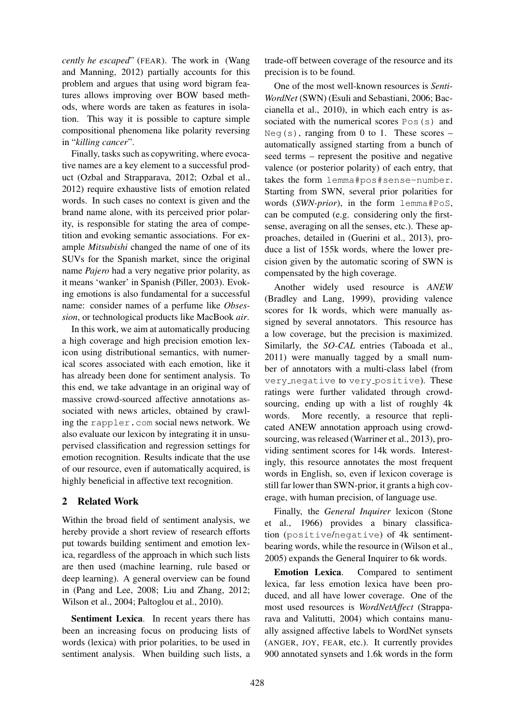*cently he escaped*" (FEAR). The work in (Wang and Manning, 2012) partially accounts for this problem and argues that using word bigram features allows improving over BOW based methods, where words are taken as features in isolation. This way it is possible to capture simple compositional phenomena like polarity reversing in "*killing cancer*".

Finally, tasks such as copywriting, where evocative names are a key element to a successful product (Ozbal and Strapparava, 2012; Ozbal et al., 2012) require exhaustive lists of emotion related words. In such cases no context is given and the brand name alone, with its perceived prior polarity, is responsible for stating the area of competition and evoking semantic associations. For example *Mitsubishi* changed the name of one of its SUVs for the Spanish market, since the original name *Pajero* had a very negative prior polarity, as it means 'wanker' in Spanish (Piller, 2003). Evoking emotions is also fundamental for a successful name: consider names of a perfume like *Obsession*, or technological products like MacBook *air*.

In this work, we aim at automatically producing a high coverage and high precision emotion lexicon using distributional semantics, with numerical scores associated with each emotion, like it has already been done for sentiment analysis. To this end, we take advantage in an original way of massive crowd-sourced affective annotations associated with news articles, obtained by crawling the rappler.com social news network. We also evaluate our lexicon by integrating it in unsupervised classification and regression settings for emotion recognition. Results indicate that the use of our resource, even if automatically acquired, is highly beneficial in affective text recognition.

## 2 Related Work

Within the broad field of sentiment analysis, we hereby provide a short review of research efforts put towards building sentiment and emotion lexica, regardless of the approach in which such lists are then used (machine learning, rule based or deep learning). A general overview can be found in (Pang and Lee, 2008; Liu and Zhang, 2012; Wilson et al., 2004; Paltoglou et al., 2010).

Sentiment Lexica. In recent years there has been an increasing focus on producing lists of words (lexica) with prior polarities, to be used in sentiment analysis. When building such lists, a

trade-off between coverage of the resource and its precision is to be found.

One of the most well-known resources is *Senti-WordNet* (SWN) (Esuli and Sebastiani, 2006; Baccianella et al., 2010), in which each entry is associated with the numerical scores Pos(s) and Neg(s), ranging from 0 to 1. These scores – automatically assigned starting from a bunch of seed terms – represent the positive and negative valence (or posterior polarity) of each entry, that takes the form lemma#pos#sense-number. Starting from SWN, several prior polarities for words (*SWN-prior*), in the form lemma#PoS, can be computed (e.g. considering only the firstsense, averaging on all the senses, etc.). These approaches, detailed in (Guerini et al., 2013), produce a list of 155k words, where the lower precision given by the automatic scoring of SWN is compensated by the high coverage.

Another widely used resource is *ANEW* (Bradley and Lang, 1999), providing valence scores for 1k words, which were manually assigned by several annotators. This resource has a low coverage, but the precision is maximized. Similarly, the *SO-CAL* entries (Taboada et al., 2011) were manually tagged by a small number of annotators with a multi-class label (from very negative to very positive). These ratings were further validated through crowdsourcing, ending up with a list of roughly 4k words. More recently, a resource that replicated ANEW annotation approach using crowdsourcing, was released (Warriner et al., 2013), providing sentiment scores for 14k words. Interestingly, this resource annotates the most frequent words in English, so, even if lexicon coverage is still far lower than SWN-prior, it grants a high coverage, with human precision, of language use.

Finally, the *General Inquirer* lexicon (Stone et al., 1966) provides a binary classification (positive/negative) of 4k sentimentbearing words, while the resource in (Wilson et al., 2005) expands the General Inquirer to 6k words.

Emotion Lexica. Compared to sentiment lexica, far less emotion lexica have been produced, and all have lower coverage. One of the most used resources is *WordNetAffect* (Strapparava and Valitutti, 2004) which contains manually assigned affective labels to WordNet synsets (ANGER, JOY, FEAR, etc.). It currently provides 900 annotated synsets and 1.6k words in the form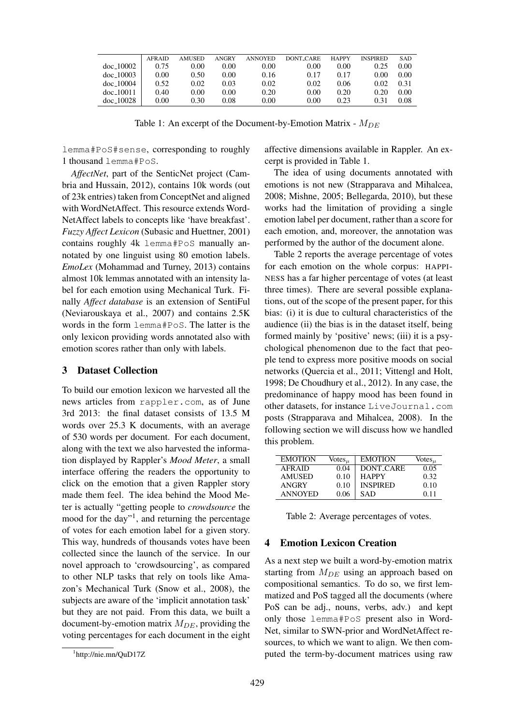|                  | <b>AFRAID</b> | <b>AMUSED</b> | ANGRY | <b>ANNOYED</b> | <b>DONT CARE</b> | <b>HAPPY</b> | <b>INSPIRED</b> | <b>SAD</b> |
|------------------|---------------|---------------|-------|----------------|------------------|--------------|-----------------|------------|
| $doc_10002$      | 0.75          | 0.00          | 0.00  | 0.00           | 0.00             | 0.00         | 0.25            | 0.00       |
| $\rm{doc}$ 10003 | 0.00          | 0.50          | 0.00  | 0.16           | 0.17             | 0.17         | 0.00            | 0.00       |
| $doc_10004$      | 0.52          | 0.02          | 0.03  | 0.02           | 0.02             | 0.06         | 0.02            | 0.31       |
| $doc_10011$      | 0.40          | 0.00          | 0.00  | 0.20           | 0.00             | 0.20         | 0.20            | 0.00       |
| $doc_10028$      | 0.00          | 0.30          | 0.08  | 0.00           | 0.00             | 0.23         | 0.31            | 0.08       |

Table 1: An excerpt of the Document-by-Emotion Matrix -  $M_{DE}$ 

lemma#PoS#sense, corresponding to roughly 1 thousand lemma#PoS.

*AffectNet*, part of the SenticNet project (Cambria and Hussain, 2012), contains 10k words (out of 23k entries) taken from ConceptNet and aligned with WordNetAffect. This resource extends Word-NetAffect labels to concepts like 'have breakfast'. *Fuzzy Affect Lexicon* (Subasic and Huettner, 2001) contains roughly 4k lemma#PoS manually annotated by one linguist using 80 emotion labels. *EmoLex* (Mohammad and Turney, 2013) contains almost 10k lemmas annotated with an intensity label for each emotion using Mechanical Turk. Finally *Affect database* is an extension of SentiFul (Neviarouskaya et al., 2007) and contains 2.5K words in the form lemma#PoS. The latter is the only lexicon providing words annotated also with emotion scores rather than only with labels.

#### 3 Dataset Collection

To build our emotion lexicon we harvested all the news articles from rappler.com, as of June 3rd 2013: the final dataset consists of 13.5 M words over 25.3 K documents, with an average of 530 words per document. For each document, along with the text we also harvested the information displayed by Rappler's *Mood Meter*, a small interface offering the readers the opportunity to click on the emotion that a given Rappler story made them feel. The idea behind the Mood Meter is actually "getting people to *crowdsource* the mood for the day"<sup>1</sup>, and returning the percentage of votes for each emotion label for a given story. This way, hundreds of thousands votes have been collected since the launch of the service. In our novel approach to 'crowdsourcing', as compared to other NLP tasks that rely on tools like Amazon's Mechanical Turk (Snow et al., 2008), the subjects are aware of the 'implicit annotation task' but they are not paid. From this data, we built a document-by-emotion matrix  $M_{DE}$ , providing the voting percentages for each document in the eight affective dimensions available in Rappler. An excerpt is provided in Table 1.

The idea of using documents annotated with emotions is not new (Strapparava and Mihalcea, 2008; Mishne, 2005; Bellegarda, 2010), but these works had the limitation of providing a single emotion label per document, rather than a score for each emotion, and, moreover, the annotation was performed by the author of the document alone.

Table 2 reports the average percentage of votes for each emotion on the whole corpus: HAPPI-NESS has a far higher percentage of votes (at least three times). There are several possible explanations, out of the scope of the present paper, for this bias: (i) it is due to cultural characteristics of the audience (ii) the bias is in the dataset itself, being formed mainly by 'positive' news; (iii) it is a psychological phenomenon due to the fact that people tend to express more positive moods on social networks (Quercia et al., 2011; Vittengl and Holt, 1998; De Choudhury et al., 2012). In any case, the predominance of happy mood has been found in other datasets, for instance LiveJournal.com posts (Strapparava and Mihalcea, 2008). In the following section we will discuss how we handled this problem.

| <b>EMOTION</b> | Votes $_{\mu}$ | <b>EMOTION</b>   | Votes $_{\mu}$ |
|----------------|----------------|------------------|----------------|
| <b>AFRAID</b>  | 0.04           | <b>DONT_CARE</b> | 0.05           |
| AMUSED         | 0.10           | <b>HAPPY</b>     | 0.32           |
| <b>ANGRY</b>   | 0.10           | <b>INSPIRED</b>  | 0.10           |
| <b>ANNOYED</b> | 0.06           | SAD              | O 11           |
|                |                |                  |                |

Table 2: Average percentages of votes.

#### 4 Emotion Lexicon Creation

As a next step we built a word-by-emotion matrix starting from  $M_{DE}$  using an approach based on compositional semantics. To do so, we first lemmatized and PoS tagged all the documents (where PoS can be adj., nouns, verbs, adv.) and kept only those lemma#PoS present also in Word-Net, similar to SWN-prior and WordNetAffect resources, to which we want to align. We then computed the term-by-document matrices using raw

<sup>1</sup> http://nie.mn/QuD17Z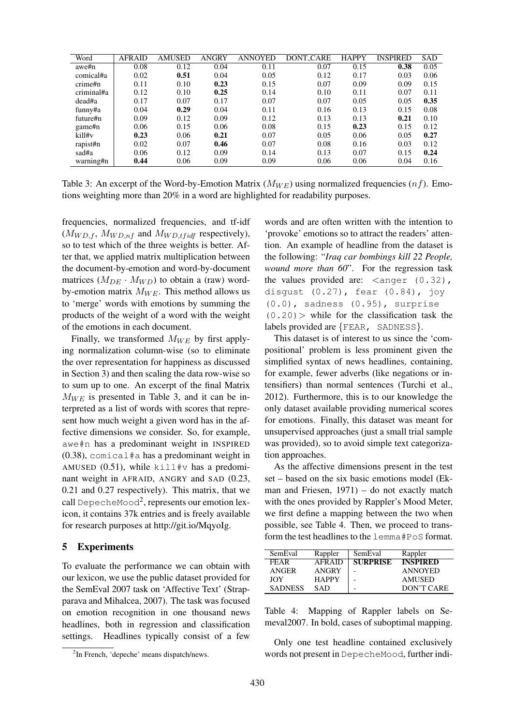| Word       | <b>AFRAID</b> | <b>AMUSED</b> | ANGRY | <b>ANNOYED</b> | <b>DONT CARE</b> | <b>HAPPY</b> | <b>INSPIRED</b> | <b>SAD</b> |
|------------|---------------|---------------|-------|----------------|------------------|--------------|-----------------|------------|
| awe#n      | 0.08          | 0.12          | 0.04  | 0.11           | 0.07             | 0.15         | 0.38            | 0.05       |
| comical#a  | 0.02          | 0.51          | 0.04  | 0.05           | 0.12             | 0.17         | 0.03            | 0.06       |
| crime#n    | 0.11          | 0.10          | 0.23  | 0.15           | 0.07             | 0.09         | 0.09            | 0.15       |
| criminal#a | 0.12          | 0.10          | 0.25  | 0.14           | 0.10             | 0.11         | 0.07            | 0.11       |
| dead#a     | 0.17          | 0.07          | 0.17  | 0.07           | 0.07             | 0.05         | 0.05            | 0.35       |
| funny#a    | 0.04          | 0.29          | 0.04  | 0.11           | 0.16             | 0.13         | 0.15            | 0.08       |
| future#n   | 0.09          | 0.12          | 0.09  | 0.12           | 0.13             | 0.13         | 0.21            | 0.10       |
| game#n     | 0.06          | 0.15          | 0.06  | 0.08           | 0.15             | 0.23         | 0.15            | 0.12       |
| kill#v     | 0.23          | 0.06          | 0.21  | 0.07           | 0.05             | 0.06         | 0.05            | 0.27       |
| rapist#n   | 0.02          | 0.07          | 0.46  | 0.07           | 0.08             | 0.16         | 0.03            | 0.12       |
| sad#a      | 0.06          | 0.12          | 0.09  | 0.14           | 0.13             | 0.07         | 0.15            | 0.24       |
| warning#n  | 0.44          | 0.06          | 0.09  | 0.09           | 0.06             | 0.06         | 0.04            | 0.16       |

Table 3: An excerpt of the Word-by-Emotion Matrix ( $M_{WE}$ ) using normalized frequencies (*nf*). Emotions weighting more than 20% in a word are highlighted for readability purposes.

frequencies, normalized frequencies, and tf-idf  $(M_{WD,f}, M_{WD, nf}$  and  $M_{WD,tfidf}$  respectively), so to test which of the three weights is better. After that, we applied matrix multiplication between the document-by-emotion and word-by-document matrices  $(M_{DE} \cdot M_{WD})$  to obtain a (raw) wordby-emotion matrix  $M_{WE}$ . This method allows us to 'merge' words with emotions by summing the products of the weight of a word with the weight of the emotions in each document.

Finally, we transformed  $M_{WE}$  by first applying normalization column-wise (so to eliminate the over representation for happiness as discussed in Section 3) and then scaling the data row-wise so to sum up to one. An excerpt of the final Matrix  $M_{WE}$  is presented in Table 3, and it can be interpreted as a list of words with scores that represent how much weight a given word has in the affective dimensions we consider. So, for example, awe#n has a predominant weight in INSPIRED (0.38), comical#a has a predominant weight in AMUSED  $(0.51)$ , while kill#v has a predominant weight in AFRAID, ANGRY and SAD (0.23, 0.21 and 0.27 respectively). This matrix, that we call DepecheMood<sup>2</sup>, represents our emotion lexicon, it contains 37k entries and is freely available for research purposes at http://git.io/MqyoIg.

#### 5 Experiments

To evaluate the performance we can obtain with our lexicon, we use the public dataset provided for the SemEval 2007 task on 'Affective Text' (Strapparava and Mihalcea, 2007). The task was focused on emotion recognition in one thousand news headlines, both in regression and classification settings. Headlines typically consist of a few words and are often written with the intention to 'provoke' emotions so to attract the readers' attention. An example of headline from the dataset is the following: "*Iraq car bombings kill 22 People, wound more than 60*". For the regression task the values provided are:  $\langle \text{anger } (0.32) \rangle$ , disgust (0.27), fear (0.84), joy (0.0), sadness (0.95), surprise  $(0.20)$  while for the classification task the labels provided are {FEAR, SADNESS}.

This dataset is of interest to us since the 'compositional' problem is less prominent given the simplified syntax of news headlines, containing, for example, fewer adverbs (like negations or intensifiers) than normal sentences (Turchi et al., 2012). Furthermore, this is to our knowledge the only dataset available providing numerical scores for emotions. Finally, this dataset was meant for unsupervised approaches (just a small trial sample was provided), so to avoid simple text categorization approaches.

As the affective dimensions present in the test set – based on the six basic emotions model (Ekman and Friesen, 1971) – do not exactly match with the ones provided by Rappler's Mood Meter, we first define a mapping between the two when possible, see Table 4. Then, we proceed to transform the test headlines to the lemma#PoS format.

| SemEval        | Rappler       | SemEval         | Rappler         |
|----------------|---------------|-----------------|-----------------|
| <b>FEAR</b>    | <b>AFRAID</b> | <b>SURPRISE</b> | <b>INSPIRED</b> |
| ANGER          | <b>ANGRY</b>  |                 | <b>ANNOYED</b>  |
| JOY            | <b>HAPPY</b>  |                 | AMUSED          |
| <b>SADNESS</b> | SAD           |                 | DON'T CARE      |

Table 4: Mapping of Rappler labels on Semeval2007. In bold, cases of suboptimal mapping.

Only one test headline contained exclusively words not present in DepecheMood, further indi-

<sup>&</sup>lt;sup>2</sup>In French, 'depeche' means dispatch/news.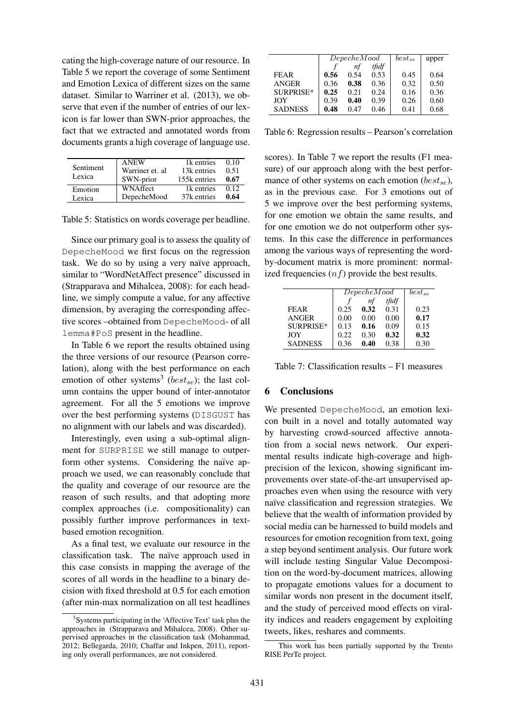cating the high-coverage nature of our resource. In Table 5 we report the coverage of some Sentiment and Emotion Lexica of different sizes on the same dataset. Similar to Warriner et al. (2013), we observe that even if the number of entries of our lexicon is far lower than SWN-prior approaches, the fact that we extracted and annotated words from documents grants a high coverage of language use.

| Sentiment<br>Lexica | <b>ANEW</b><br>Warriner et. al<br>SWN-prior | 1k entries<br>13k entries<br>155k entries | 0.10<br>0.51<br>0.67 |
|---------------------|---------------------------------------------|-------------------------------------------|----------------------|
| Emotion             | <b>WNAffect</b>                             | 1 <sub>k</sub> entries                    | 012                  |
| Lexica              | DepecheMood                                 | 37k entries                               | 0.64                 |

Table 5: Statistics on words coverage per headline.

Since our primary goal is to assess the quality of DepecheMood we first focus on the regression task. We do so by using a very naïve approach, similar to "WordNetAffect presence" discussed in (Strapparava and Mihalcea, 2008): for each headline, we simply compute a value, for any affective dimension, by averaging the corresponding affective scores –obtained from DepecheMood- of all lemma#PoS present in the headline.

In Table 6 we report the results obtained using the three versions of our resource (Pearson correlation), along with the best performance on each emotion of other systems<sup>3</sup> (*best<sub>se</sub>*); the last column contains the upper bound of inter-annotator agreement. For all the 5 emotions we improve over the best performing systems (DISGUST has no alignment with our labels and was discarded).

Interestingly, even using a sub-optimal alignment for SURPRISE we still manage to outperform other systems. Considering the naïve approach we used, we can reasonably conclude that the quality and coverage of our resource are the reason of such results, and that adopting more complex approaches (i.e. compositionality) can possibly further improve performances in textbased emotion recognition.

As a final test, we evaluate our resource in the classification task. The naïve approach used in this case consists in mapping the average of the scores of all words in the headline to a binary decision with fixed threshold at 0.5 for each emotion (after min-max normalization on all test headlines

|                | DeepecheMod |      |       | $best_{se}$ | upper |
|----------------|-------------|------|-------|-------------|-------|
|                |             | nf   | tfidf |             |       |
| <b>FEAR</b>    | 0.56        | 0.54 | 0.53  | 0.45        | 0.64  |
| <b>ANGER</b>   | 0.36        | 0.38 | 0.36  | 0.32        | 0.50  |
| SURPRISE*      | 0.25        | 0.21 | 0.24  | 0.16        | 0.36  |
| JOY            | 0.39        | 0.40 | 0.39  | 0.26        | 0.60  |
| <b>SADNESS</b> | 0.48        | 0.47 | 0.46  | 0.41        | 0.68  |

Table 6: Regression results – Pearson's correlation

scores). In Table 7 we report the results (F1 measure) of our approach along with the best performance of other systems on each emotion ( $best_{se}$ ), as in the previous case. For 3 emotions out of 5 we improve over the best performing systems, for one emotion we obtain the same results, and for one emotion we do not outperform other systems. In this case the difference in performances among the various ways of representing the wordby-document matrix is more prominent: normalized frequencies  $(n f)$  provide the best results.

|                | DeepecheMod | $best_{se}$ |       |      |
|----------------|-------------|-------------|-------|------|
|                |             | nf          | tfidf |      |
| FEAR           | 0.25        | 0.32        | 0.31  | 0.23 |
| <b>ANGER</b>   | 0.00        | 0.00        | 0.00  | 0.17 |
| SURPRISE*      | 0.13        | 0.16        | 0.09  | 0.15 |
| JOY            | 0.22        | 0.30        | 0.32  | 0.32 |
| <b>SADNESS</b> | 0.36        | 0.40        | 0.38  | 0.30 |

Table 7: Classification results – F1 measures

#### 6 Conclusions

We presented DepecheMood, an emotion lexicon built in a novel and totally automated way by harvesting crowd-sourced affective annotation from a social news network. Our experimental results indicate high-coverage and highprecision of the lexicon, showing significant improvements over state-of-the-art unsupervised approaches even when using the resource with very naïve classification and regression strategies. We believe that the wealth of information provided by social media can be harnessed to build models and resources for emotion recognition from text, going a step beyond sentiment analysis. Our future work will include testing Singular Value Decomposition on the word-by-document matrices, allowing to propagate emotions values for a document to similar words non present in the document itself, and the study of perceived mood effects on virality indices and readers engagement by exploiting tweets, likes, reshares and comments.

<sup>&</sup>lt;sup>3</sup>Systems participating in the 'Affective Text' task plus the approaches in (Strapparava and Mihalcea, 2008). Other supervised approaches in the classification task (Mohammad, 2012; Bellegarda, 2010; Chaffar and Inkpen, 2011), reporting only overall performances, are not considered.

This work has been partially supported by the Trento RISE PerTe project.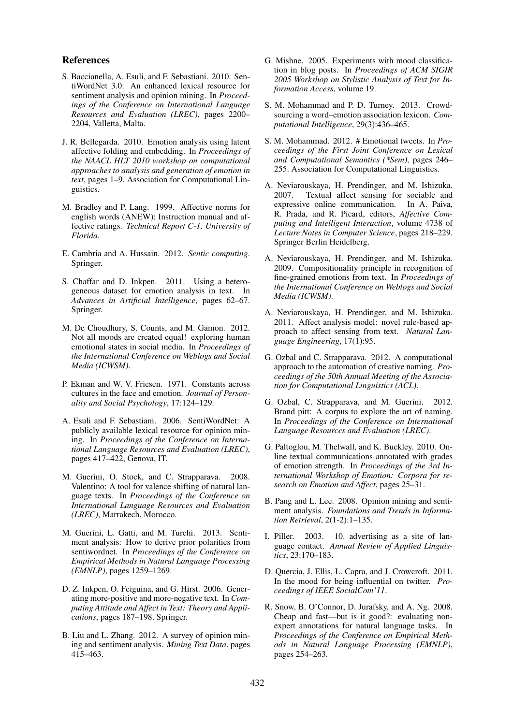#### References

- S. Baccianella, A. Esuli, and F. Sebastiani. 2010. SentiWordNet 3.0: An enhanced lexical resource for sentiment analysis and opinion mining. In *Proceedings of the Conference on International Language Resources and Evaluation (LREC)*, pages 2200– 2204, Valletta, Malta.
- J. R. Bellegarda. 2010. Emotion analysis using latent affective folding and embedding. In *Proceedings of the NAACL HLT 2010 workshop on computational approaches to analysis and generation of emotion in text*, pages 1–9. Association for Computational Linguistics.
- M. Bradley and P. Lang. 1999. Affective norms for english words (ANEW): Instruction manual and affective ratings. *Technical Report C-1, University of Florida*.
- E. Cambria and A. Hussain. 2012. *Sentic computing*. Springer.
- S. Chaffar and D. Inkpen. 2011. Using a heterogeneous dataset for emotion analysis in text. In *Advances in Artificial Intelligence*, pages 62–67. Springer.
- M. De Choudhury, S. Counts, and M. Gamon. 2012. Not all moods are created equal! exploring human emotional states in social media. In *Proceedings of the International Conference on Weblogs and Social Media (ICWSM)*.
- P. Ekman and W. V. Friesen. 1971. Constants across cultures in the face and emotion. *Journal of Personality and Social Psychology*, 17:124–129.
- A. Esuli and F. Sebastiani. 2006. SentiWordNet: A publicly available lexical resource for opinion mining. In *Proceedings of the Conference on International Language Resources and Evaluation (LREC)*, pages 417–422, Genova, IT.
- M. Guerini, O. Stock, and C. Strapparava. 2008. Valentino: A tool for valence shifting of natural language texts. In *Proceedings of the Conference on International Language Resources and Evaluation (LREC)*, Marrakech, Morocco.
- M. Guerini, L. Gatti, and M. Turchi. 2013. Sentiment analysis: How to derive prior polarities from sentiwordnet. In *Proceedings of the Conference on Empirical Methods in Natural Language Processing (EMNLP)*, pages 1259–1269.
- D. Z. Inkpen, O. Feiguina, and G. Hirst. 2006. Generating more-positive and more-negative text. In *Computing Attitude and Affect in Text: Theory and Applications*, pages 187–198. Springer.
- B. Liu and L. Zhang. 2012. A survey of opinion mining and sentiment analysis. *Mining Text Data*, pages 415–463.
- G. Mishne. 2005. Experiments with mood classification in blog posts. In *Proceedings of ACM SIGIR 2005 Workshop on Stylistic Analysis of Text for Information Access*, volume 19.
- S. M. Mohammad and P. D. Turney. 2013. Crowdsourcing a word–emotion association lexicon. *Computational Intelligence*, 29(3):436–465.
- S. M. Mohammad. 2012. # Emotional tweets. In *Proceedings of the First Joint Conference on Lexical and Computational Semantics (\*Sem)*, pages 246– 255. Association for Computational Linguistics.
- A. Neviarouskaya, H. Prendinger, and M. Ishizuka. 2007. Textual affect sensing for sociable and expressive online communication. In A. Paiva, R. Prada, and R. Picard, editors, *Affective Computing and Intelligent Interaction*, volume 4738 of *Lecture Notes in Computer Science*, pages 218–229. Springer Berlin Heidelberg.
- A. Neviarouskaya, H. Prendinger, and M. Ishizuka. 2009. Compositionality principle in recognition of fine-grained emotions from text. In *Proceedings of the International Conference on Weblogs and Social Media (ICWSM)*.
- A. Neviarouskaya, H. Prendinger, and M. Ishizuka. 2011. Affect analysis model: novel rule-based approach to affect sensing from text. *Natural Language Engineering*, 17(1):95.
- G. Ozbal and C. Strapparava. 2012. A computational approach to the automation of creative naming. *Proceedings of the 50th Annual Meeting of the Association for Computational Linguistics (ACL)*.
- G. Ozbal, C. Strapparava, and M. Guerini. 2012. Brand pitt: A corpus to explore the art of naming. In *Proceedings of the Conference on International Language Resources and Evaluation (LREC)*.
- G. Paltoglou, M. Thelwall, and K. Buckley. 2010. Online textual communications annotated with grades of emotion strength. In *Proceedings of the 3rd International Workshop of Emotion: Corpora for research on Emotion and Affect*, pages 25–31.
- B. Pang and L. Lee. 2008. Opinion mining and sentiment analysis. *Foundations and Trends in Information Retrieval*, 2(1-2):1–135.
- I. Piller. 2003. 10. advertising as a site of language contact. *Annual Review of Applied Linguistics*, 23:170–183.
- D. Quercia, J. Ellis, L. Capra, and J. Crowcroft. 2011. In the mood for being influential on twitter. *Proceedings of IEEE SocialCom'11*.
- R. Snow, B. O'Connor, D. Jurafsky, and A. Ng. 2008. Cheap and fast—but is it good?: evaluating nonexpert annotations for natural language tasks. In *Proceedings of the Conference on Empirical Methods in Natural Language Processing (EMNLP)*, pages 254–263.